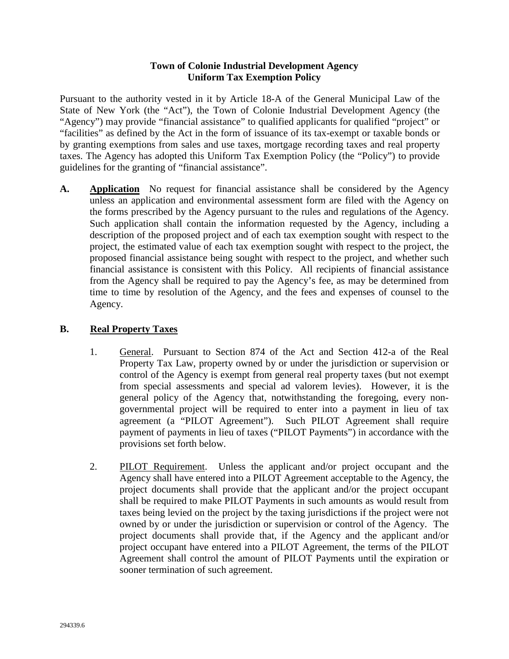### **Town of Colonie Industrial Development Agency Uniform Tax Exemption Policy**

Pursuant to the authority vested in it by Article 18-A of the General Municipal Law of the State of New York (the "Act"), the Town of Colonie Industrial Development Agency (the "Agency") may provide "financial assistance" to qualified applicants for qualified "project" or "facilities" as defined by the Act in the form of issuance of its tax-exempt or taxable bonds or by granting exemptions from sales and use taxes, mortgage recording taxes and real property taxes. The Agency has adopted this Uniform Tax Exemption Policy (the "Policy") to provide guidelines for the granting of "financial assistance".

**A. Application** No request for financial assistance shall be considered by the Agency unless an application and environmental assessment form are filed with the Agency on the forms prescribed by the Agency pursuant to the rules and regulations of the Agency. Such application shall contain the information requested by the Agency, including a description of the proposed project and of each tax exemption sought with respect to the project, the estimated value of each tax exemption sought with respect to the project, the proposed financial assistance being sought with respect to the project, and whether such financial assistance is consistent with this Policy. All recipients of financial assistance from the Agency shall be required to pay the Agency's fee, as may be determined from time to time by resolution of the Agency, and the fees and expenses of counsel to the Agency.

## **B. Real Property Taxes**

- 1. General. Pursuant to Section 874 of the Act and Section 412-a of the Real Property Tax Law, property owned by or under the jurisdiction or supervision or control of the Agency is exempt from general real property taxes (but not exempt from special assessments and special ad valorem levies). However, it is the general policy of the Agency that, notwithstanding the foregoing, every nongovernmental project will be required to enter into a payment in lieu of tax agreement (a "PILOT Agreement"). Such PILOT Agreement shall require payment of payments in lieu of taxes ("PILOT Payments") in accordance with the provisions set forth below.
- 2. PILOT Requirement. Unless the applicant and/or project occupant and the Agency shall have entered into a PILOT Agreement acceptable to the Agency, the project documents shall provide that the applicant and/or the project occupant shall be required to make PILOT Payments in such amounts as would result from taxes being levied on the project by the taxing jurisdictions if the project were not owned by or under the jurisdiction or supervision or control of the Agency. The project documents shall provide that, if the Agency and the applicant and/or project occupant have entered into a PILOT Agreement, the terms of the PILOT Agreement shall control the amount of PILOT Payments until the expiration or sooner termination of such agreement.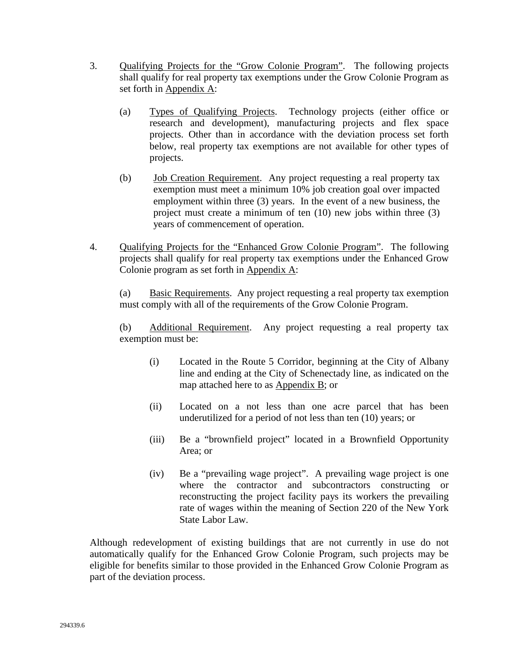- 3. Qualifying Projects for the "Grow Colonie Program". The following projects shall qualify for real property tax exemptions under the Grow Colonie Program as set forth in Appendix A:
	- (a) Types of Qualifying Projects. Technology projects (either office or research and development), manufacturing projects and flex space projects. Other than in accordance with the deviation process set forth below, real property tax exemptions are not available for other types of projects.
	- (b) Job Creation Requirement. Any project requesting a real property tax exemption must meet a minimum 10% job creation goal over impacted employment within three (3) years. In the event of a new business, the project must create a minimum of ten (10) new jobs within three (3) years of commencement of operation.
- 4. Qualifying Projects for the "Enhanced Grow Colonie Program". The following projects shall qualify for real property tax exemptions under the Enhanced Grow Colonie program as set forth in Appendix A:

(a) Basic Requirements. Any project requesting a real property tax exemption must comply with all of the requirements of the Grow Colonie Program.

(b) Additional Requirement. Any project requesting a real property tax exemption must be:

- (i) Located in the Route 5 Corridor, beginning at the City of Albany line and ending at the City of Schenectady line, as indicated on the map attached here to as Appendix B; or
- (ii) Located on a not less than one acre parcel that has been underutilized for a period of not less than ten (10) years; or
- (iii) Be a "brownfield project" located in a Brownfield Opportunity Area; or
- (iv) Be a "prevailing wage project". A prevailing wage project is one where the contractor and subcontractors constructing or reconstructing the project facility pays its workers the prevailing rate of wages within the meaning of Section 220 of the New York State Labor Law.

Although redevelopment of existing buildings that are not currently in use do not automatically qualify for the Enhanced Grow Colonie Program, such projects may be eligible for benefits similar to those provided in the Enhanced Grow Colonie Program as part of the deviation process.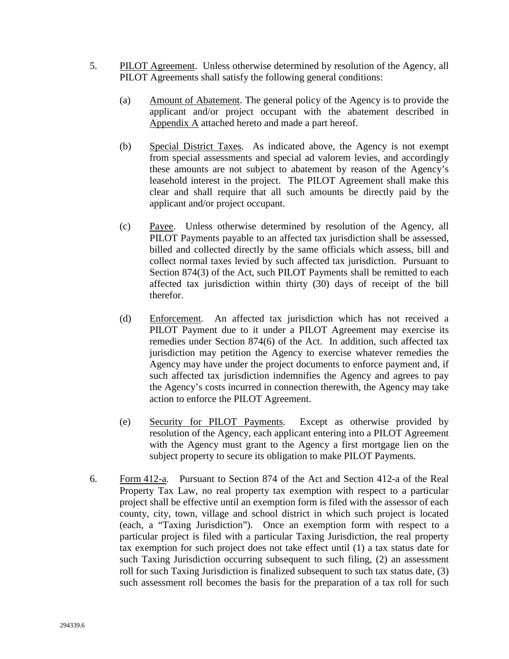- 5. PILOT Agreement. Unless otherwise determined by resolution of the Agency, all PILOT Agreements shall satisfy the following general conditions:
	- (a) Amount of Abatement. The general policy of the Agency is to provide the applicant and/or project occupant with the abatement described in Appendix A attached hereto and made a part hereof.
	- (b) Special District Taxes. As indicated above, the Agency is not exempt from special assessments and special ad valorem levies, and accordingly these amounts are not subject to abatement by reason of the Agency's leasehold interest in the project. The PILOT Agreement shall make this clear and shall require that all such amounts be directly paid by the applicant and/or project occupant.
	- (c) Payee. Unless otherwise determined by resolution of the Agency, all PILOT Payments payable to an affected tax jurisdiction shall be assessed, billed and collected directly by the same officials which assess, bill and collect normal taxes levied by such affected tax jurisdiction. Pursuant to Section 874(3) of the Act, such PILOT Payments shall be remitted to each affected tax jurisdiction within thirty (30) days of receipt of the bill therefor.
	- (d) Enforcement. An affected tax jurisdiction which has not received a PILOT Payment due to it under a PILOT Agreement may exercise its remedies under Section 874(6) of the Act. In addition, such affected tax jurisdiction may petition the Agency to exercise whatever remedies the Agency may have under the project documents to enforce payment and, if such affected tax jurisdiction indemnifies the Agency and agrees to pay the Agency's costs incurred in connection therewith, the Agency may take action to enforce the PILOT Agreement.
	- (e) Security for PILOT Payments. Except as otherwise provided by resolution of the Agency, each applicant entering into a PILOT Agreement with the Agency must grant to the Agency a first mortgage lien on the subject property to secure its obligation to make PILOT Payments.
- 6. Form 412-a. Pursuant to Section 874 of the Act and Section 412-a of the Real Property Tax Law, no real property tax exemption with respect to a particular project shall be effective until an exemption form is filed with the assessor of each county, city, town, village and school district in which such project is located (each, a "Taxing Jurisdiction"). Once an exemption form with respect to a particular project is filed with a particular Taxing Jurisdiction, the real property tax exemption for such project does not take effect until (1) a tax status date for such Taxing Jurisdiction occurring subsequent to such filing, (2) an assessment roll for such Taxing Jurisdiction is finalized subsequent to such tax status date, (3) such assessment roll becomes the basis for the preparation of a tax roll for such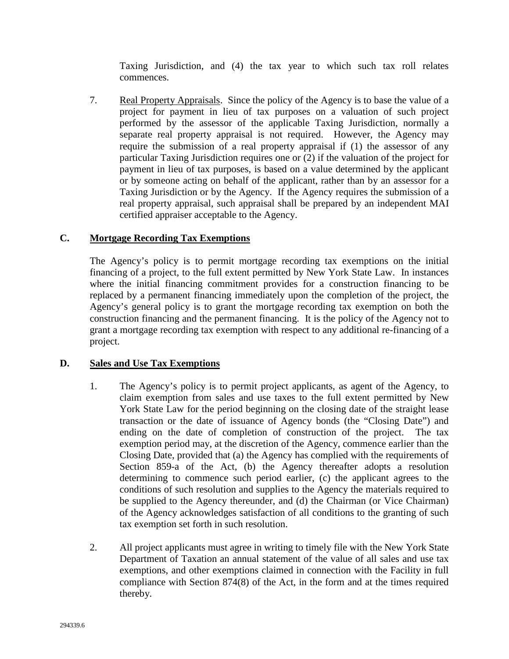Taxing Jurisdiction, and (4) the tax year to which such tax roll relates commences.

7. Real Property Appraisals. Since the policy of the Agency is to base the value of a project for payment in lieu of tax purposes on a valuation of such project performed by the assessor of the applicable Taxing Jurisdiction, normally a separate real property appraisal is not required. However, the Agency may require the submission of a real property appraisal if (1) the assessor of any particular Taxing Jurisdiction requires one or (2) if the valuation of the project for payment in lieu of tax purposes, is based on a value determined by the applicant or by someone acting on behalf of the applicant, rather than by an assessor for a Taxing Jurisdiction or by the Agency. If the Agency requires the submission of a real property appraisal, such appraisal shall be prepared by an independent MAI certified appraiser acceptable to the Agency.

### **C. Mortgage Recording Tax Exemptions**

The Agency's policy is to permit mortgage recording tax exemptions on the initial financing of a project, to the full extent permitted by New York State Law. In instances where the initial financing commitment provides for a construction financing to be replaced by a permanent financing immediately upon the completion of the project, the Agency's general policy is to grant the mortgage recording tax exemption on both the construction financing and the permanent financing. It is the policy of the Agency not to grant a mortgage recording tax exemption with respect to any additional re-financing of a project.

## **D. Sales and Use Tax Exemptions**

- 1. The Agency's policy is to permit project applicants, as agent of the Agency, to claim exemption from sales and use taxes to the full extent permitted by New York State Law for the period beginning on the closing date of the straight lease transaction or the date of issuance of Agency bonds (the "Closing Date") and ending on the date of completion of construction of the project. The tax exemption period may, at the discretion of the Agency, commence earlier than the Closing Date, provided that (a) the Agency has complied with the requirements of Section 859-a of the Act, (b) the Agency thereafter adopts a resolution determining to commence such period earlier, (c) the applicant agrees to the conditions of such resolution and supplies to the Agency the materials required to be supplied to the Agency thereunder, and (d) the Chairman (or Vice Chairman) of the Agency acknowledges satisfaction of all conditions to the granting of such tax exemption set forth in such resolution.
- 2. All project applicants must agree in writing to timely file with the New York State Department of Taxation an annual statement of the value of all sales and use tax exemptions, and other exemptions claimed in connection with the Facility in full compliance with Section 874(8) of the Act, in the form and at the times required thereby.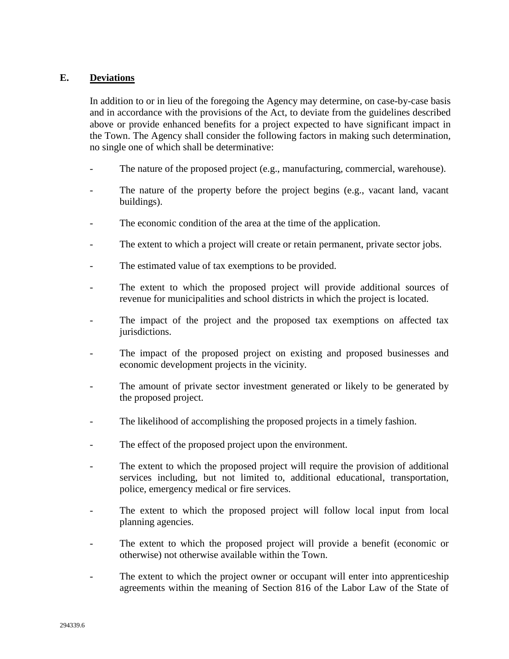### **E. Deviations**

In addition to or in lieu of the foregoing the Agency may determine, on case-by-case basis and in accordance with the provisions of the Act, to deviate from the guidelines described above or provide enhanced benefits for a project expected to have significant impact in the Town. The Agency shall consider the following factors in making such determination, no single one of which shall be determinative:

- The nature of the proposed project (e.g., manufacturing, commercial, warehouse).
- The nature of the property before the project begins (e.g., vacant land, vacant buildings).
- The economic condition of the area at the time of the application.
- The extent to which a project will create or retain permanent, private sector jobs.
- The estimated value of tax exemptions to be provided.
- The extent to which the proposed project will provide additional sources of revenue for municipalities and school districts in which the project is located.
- The impact of the project and the proposed tax exemptions on affected tax jurisdictions.
- The impact of the proposed project on existing and proposed businesses and economic development projects in the vicinity.
- The amount of private sector investment generated or likely to be generated by the proposed project.
- The likelihood of accomplishing the proposed projects in a timely fashion.
- The effect of the proposed project upon the environment.
- The extent to which the proposed project will require the provision of additional services including, but not limited to, additional educational, transportation, police, emergency medical or fire services.
- The extent to which the proposed project will follow local input from local planning agencies.
- The extent to which the proposed project will provide a benefit (economic or otherwise) not otherwise available within the Town.
- The extent to which the project owner or occupant will enter into apprenticeship agreements within the meaning of Section 816 of the Labor Law of the State of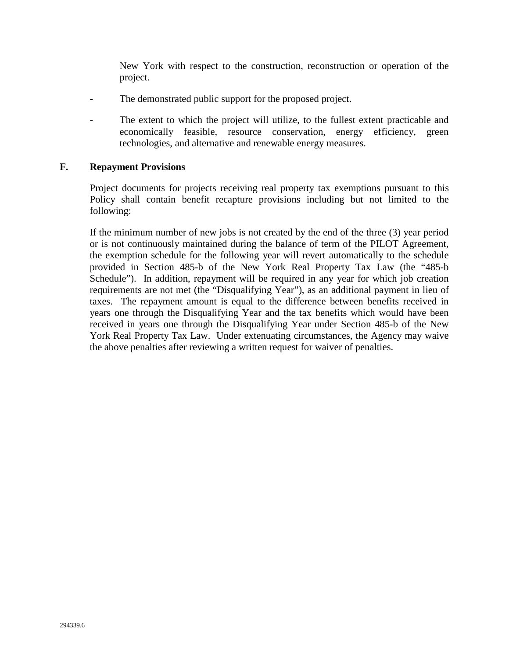New York with respect to the construction, reconstruction or operation of the project.

- The demonstrated public support for the proposed project.
- The extent to which the project will utilize, to the fullest extent practicable and economically feasible, resource conservation, energy efficiency, green technologies, and alternative and renewable energy measures.

#### **F. Repayment Provisions**

Project documents for projects receiving real property tax exemptions pursuant to this Policy shall contain benefit recapture provisions including but not limited to the following:

If the minimum number of new jobs is not created by the end of the three (3) year period or is not continuously maintained during the balance of term of the PILOT Agreement, the exemption schedule for the following year will revert automatically to the schedule provided in Section 485-b of the New York Real Property Tax Law (the "485-b Schedule"). In addition, repayment will be required in any year for which job creation requirements are not met (the "Disqualifying Year"), as an additional payment in lieu of taxes. The repayment amount is equal to the difference between benefits received in years one through the Disqualifying Year and the tax benefits which would have been received in years one through the Disqualifying Year under Section 485-b of the New York Real Property Tax Law. Under extenuating circumstances, the Agency may waive the above penalties after reviewing a written request for waiver of penalties.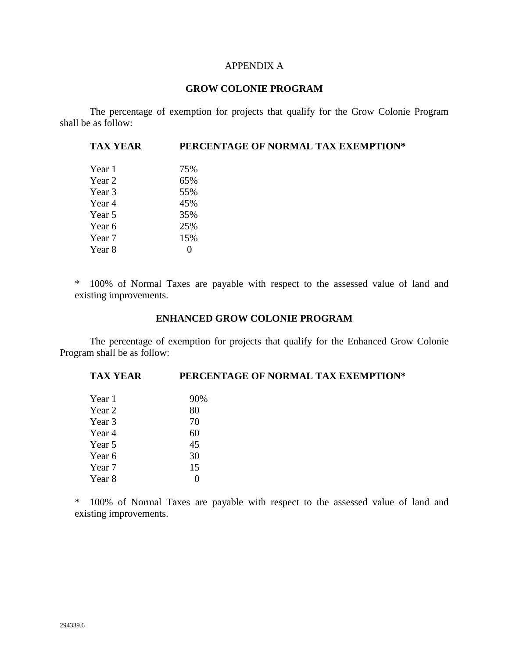#### APPENDIX A

#### **GROW COLONIE PROGRAM**

The percentage of exemption for projects that qualify for the Grow Colonie Program shall be as follow:

| PERCENTAGE OF NORMAL TAX EXEMPTION* |
|-------------------------------------|
| 75%                                 |
| 65%                                 |
| 55%                                 |
| 45%                                 |
| 35%                                 |
| 25%                                 |
| 15%                                 |
| $\theta$                            |
|                                     |

\* 100% of Normal Taxes are payable with respect to the assessed value of land and existing improvements.

#### **ENHANCED GROW COLONIE PROGRAM**

The percentage of exemption for projects that qualify for the Enhanced Grow Colonie Program shall be as follow:

### **TAX YEAR PERCENTAGE OF NORMAL TAX EXEMPTION\***

| Year 1 | 90\% |
|--------|------|
| Year 2 | 80   |
| Year 3 | 70   |
| Year 4 | 60   |
| Year 5 | 45   |
| Year 6 | 30   |
| Year 7 | 15   |
| Year 8 |      |

\* 100% of Normal Taxes are payable with respect to the assessed value of land and existing improvements.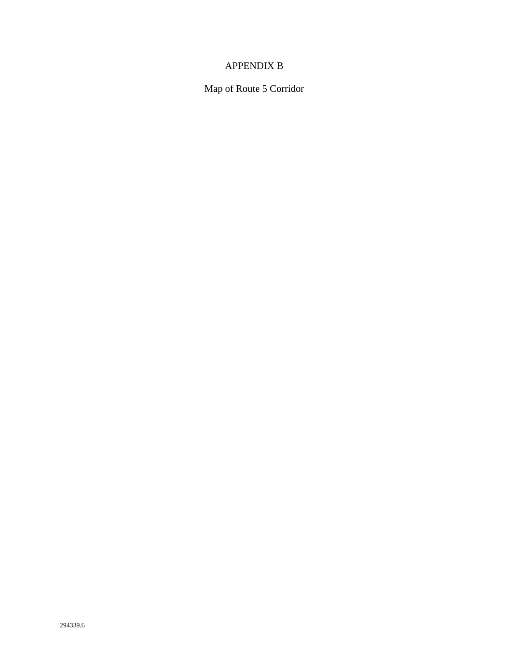# APPENDIX B

Map of Route 5 Corridor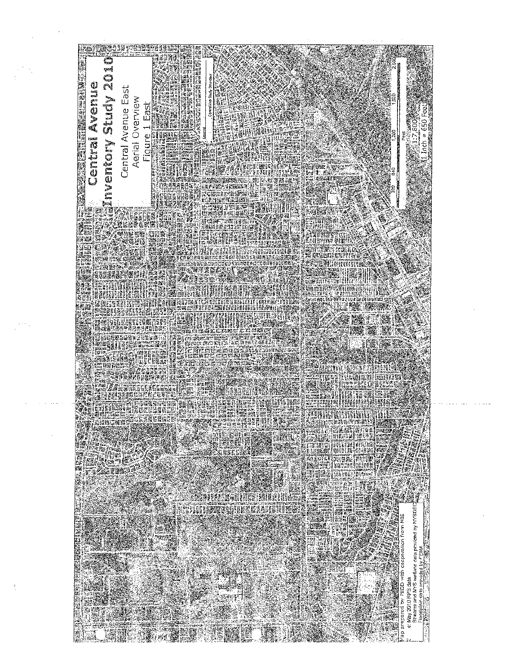

May 2010 RPS data<br>Streams and NYS w isdaud de;  $\tilde{\circ}$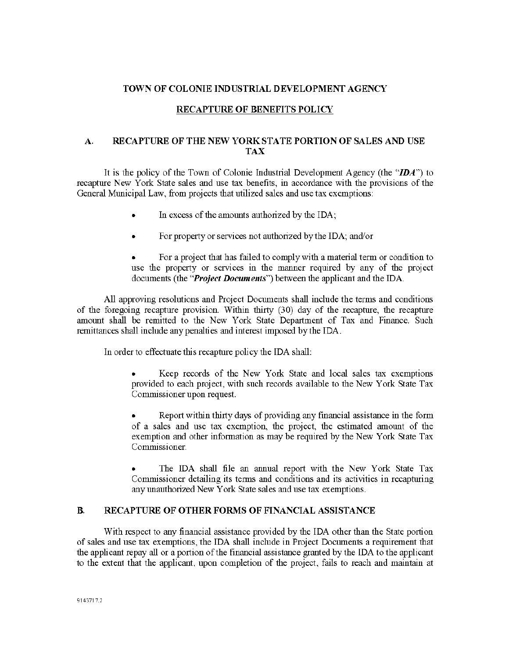#### TOWN OF COLONIE INDUSTRIAL DEVELOPMENT AGENCY

#### RECAPTURE OF BENEFITS POLICY

#### A. RECAPTURE OF THE NEW YORK STATE PORTION OF SALES AND USE **TAX**

It is the policy of the Town of Colonie Industrial Development Agency (the " $DA$ ") to recapture New York State sales and use tax benefits, in accordance with the provisions of the General Municipal Law, from projects that utilized sales and use tax exemptions:

- In excess of the amounts authorized by the IDA;
- For property or services not authorized by the IDA; and/or  $\bullet$

For a project that has failed to comply with a material term or condition to use the property or services in the manner required by any of the project documents (the "*Project Documents*") between the applicant and the IDA.

All approving resolutions and Project Documents shall include the terms and conditions of the foregoing recapture provision. Within thirty (30) day of the recapture, the recapture amount shall be remitted to the New York State Department of Tax and Finance. Such remittances shall include any penalties and interest imposed by the IDA.

In order to effectuate this recapture policy the IDA shall:

Keep records of the New York State and local sales tax exemptions  $\bullet$ provided to each project, with such records available to the New York State Tax Commissioner upon request.

Report within thirty days of providing any financial assistance in the form of a sales and use tax exemption, the project, the estimated amount of the exemption and other information as may be required by the New York State Tax Commissioner.

The IDA shall file an annual report with the New York State Tax Commissioner detailing its terms and conditions and its activities in recapturing any unauthorized New York State sales and use tax exemptions.

#### **B.** RECAPTURE OF OTHER FORMS OF FINANCIAL ASSISTANCE

With respect to any financial assistance provided by the IDA other than the State portion of sales and use tax exemptions, the IDA shall include in Project Documents a requirement that the applicant repay all or a portion of the financial assistance granted by the IDA to the applicant to the extent that the applicant, upon completion of the project, fails to reach and maintain at